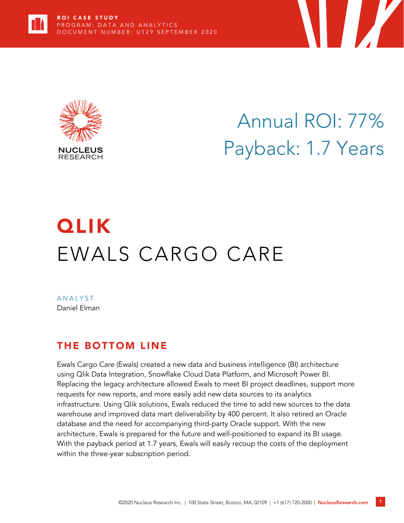



Annual ROI: 77% Payback: 1.7 Years

**TERRA DE LA PERSONA DE LA PERSONA DE LA PERSONA DE LA PERSONA DE LA PERSONA DE LA PERSONA DE LA PERSONA DE LA** 

# **QLIK** EWALS CARGO CARE

**ANALYST** Daniel Elman

# THE BOTTOM LINE

Ewals Cargo Care (Ewals) created a new data and business intelligence (BI) architecture using Qlik Data Integration, Snowflake Cloud Data Platform, and Microsoft Power BI. Replacing the legacy architecture allowed Ewals to meet BI project deadlines, support more requests for new reports, and more easily add new data sources to its analytics infrastructure. Using Qlik solutions, Ewals reduced the time to add new sources to the data warehouse and improved data mart deliverability by 400 percent. It also retired an Oracle database and the need for accompanying third-party Oracle support. With the new architecture, Ewals is prepared for the future and well-positioned to expand its BI usage. With the payback period at 1.7 years, Ewals will easily recoup the costs of the deployment within the three-year subscription period.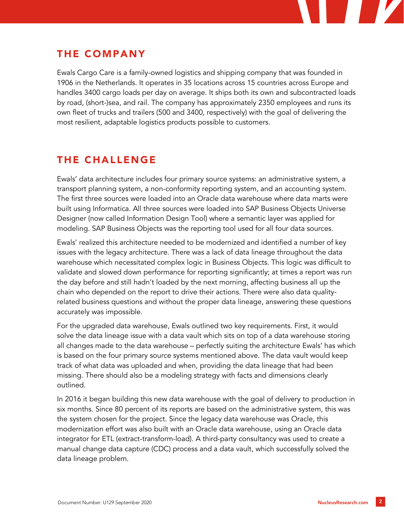

# THE COMPANY

Ewals Cargo Care is a family-owned logistics and shipping company that was founded in 1906 in the Netherlands. It operates in 35 locations across 15 countries across Europe and handles 3400 cargo loads per day on average. It ships both its own and subcontracted loads by road, (short-)sea, and rail. The company has approximately 2350 employees and runs its own fleet of trucks and trailers (500 and 3400, respectively) with the goal of delivering the most resilient, adaptable logistics products possible to customers.

# THE CHALLENGE

Ewals' data architecture includes four primary source systems: an administrative system, a transport planning system, a non-conformity reporting system, and an accounting system. The first three sources were loaded into an Oracle data warehouse where data marts were built using Informatica. All three sources were loaded into SAP Business Objects Universe Designer (now called Information Design Tool) where a semantic layer was applied for modeling. SAP Business Objects was the reporting tool used for all four data sources.

Ewals' realized this architecture needed to be modernized and identified a number of key issues with the legacy architecture. There was a lack of data lineage throughout the data warehouse which necessitated complex logic in Business Objects. This logic was difficult to validate and slowed down performance for reporting significantly; at times a report was run the day before and still hadn't loaded by the next morning, affecting business all up the chain who depended on the report to drive their actions. There were also data qualityrelated business questions and without the proper data lineage, answering these questions accurately was impossible.

For the upgraded data warehouse, Ewals outlined two key requirements. First, it would solve the data lineage issue with a data vault which sits on top of a data warehouse storing all changes made to the data warehouse – perfectly suiting the architecture Ewals' has which is based on the four primary source systems mentioned above. The data vault would keep track of what data was uploaded and when, providing the data lineage that had been missing. There should also be a modeling strategy with facts and dimensions clearly outlined.

In 2016 it began building this new data warehouse with the goal of delivery to production in six months. Since 80 percent of its reports are based on the administrative system, this was the system chosen for the project. Since the legacy data warehouse was Oracle, this modernization effort was also built with an Oracle data warehouse, using an Oracle data integrator for ETL (extract-transform-load). A third-party consultancy was used to create a manual change data capture (CDC) process and a data vault, which successfully solved the data lineage problem.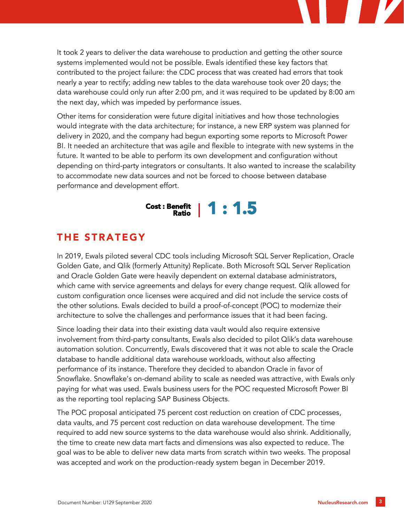It took 2 years to deliver the data warehouse to production and getting the other source systems implemented would not be possible. Ewals identified these key factors that contributed to the project failure: the CDC process that was created had errors that took nearly a year to rectify; adding new tables to the data warehouse took over 20 days; the data warehouse could only run after 2:00 pm, and it was required to be updated by 8:00 am the next day, which was impeded by performance issues.

Other items for consideration were future digital initiatives and how those technologies would integrate with the data architecture; for instance, a new ERP system was planned for delivery in 2020, and the company had begun exporting some reports to Microsoft Power BI. It needed an architecture that was agile and flexible to integrate with new systems in the future. It wanted to be able to perform its own development and configuration without depending on third-party integrators or consultants. It also wanted to increase the scalability to accommodate new data sources and not be forced to choose between database performance and development effort.



# THE STRATEGY

In 2019, Ewals piloted several CDC tools including Microsoft SQL Server Replication, Oracle Golden Gate, and Qlik (formerly Attunity) Replicate. Both Microsoft SQL Server Replication and Oracle Golden Gate were heavily dependent on external database administrators, which came with service agreements and delays for every change request. Qlik allowed for custom configuration once licenses were acquired and did not include the service costs of the other solutions. Ewals decided to build a proof-of-concept (POC) to modernize their architecture to solve the challenges and performance issues that it had been facing.

Since loading their data into their existing data vault would also require extensive involvement from third-party consultants, Ewals also decided to pilot Qlik's data warehouse automation solution. Concurrently, Ewals discovered that it was not able to scale the Oracle database to handle additional data warehouse workloads, without also affecting performance of its instance. Therefore they decided to abandon Oracle in favor of Snowflake. Snowflake's on-demand ability to scale as needed was attractive, with Ewals only paying for what was used. Ewals business users for the POC requested Microsoft Power BI as the reporting tool replacing SAP Business Objects.

The POC proposal anticipated 75 percent cost reduction on creation of CDC processes, data vaults, and 75 percent cost reduction on data warehouse development. The time required to add new source systems to the data warehouse would also shrink. Additionally, the time to create new data mart facts and dimensions was also expected to reduce. The goal was to be able to deliver new data marts from scratch within two weeks. The proposal was accepted and work on the production-ready system began in December 2019.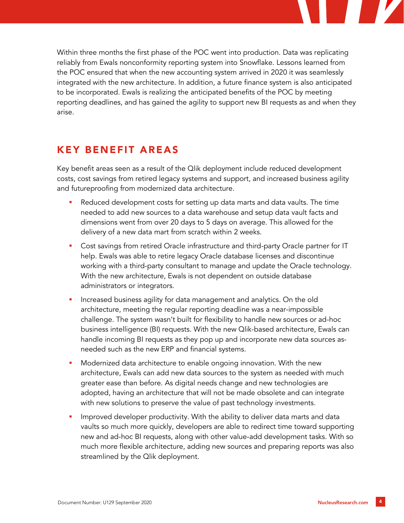

## KEY BENEFIT AREAS

Key benefit areas seen as a result of the Qlik deployment include reduced development costs, cost savings from retired legacy systems and support, and increased business agility and futureproofing from modernized data architecture.

- Reduced development costs for setting up data marts and data vaults. The time needed to add new sources to a data warehouse and setup data vault facts and dimensions went from over 20 days to 5 days on average. This allowed for the delivery of a new data mart from scratch within 2 weeks.
- Cost savings from retired Oracle infrastructure and third-party Oracle partner for IT help. Ewals was able to retire legacy Oracle database licenses and discontinue working with a third-party consultant to manage and update the Oracle technology. With the new architecture, Ewals is not dependent on outside database administrators or integrators.
- Increased business agility for data management and analytics. On the old architecture, meeting the regular reporting deadline was a near-impossible challenge. The system wasn't built for flexibility to handle new sources or ad-hoc business intelligence (BI) requests. With the new Qlik-based architecture, Ewals can handle incoming BI requests as they pop up and incorporate new data sources asneeded such as the new ERP and financial systems.
- Modernized data architecture to enable ongoing innovation. With the new architecture, Ewals can add new data sources to the system as needed with much greater ease than before. As digital needs change and new technologies are adopted, having an architecture that will not be made obsolete and can integrate with new solutions to preserve the value of past technology investments.
- Improved developer productivity. With the ability to deliver data marts and data vaults so much more quickly, developers are able to redirect time toward supporting new and ad-hoc BI requests, along with other value-add development tasks. With so much more flexible architecture, adding new sources and preparing reports was also streamlined by the Qlik deployment.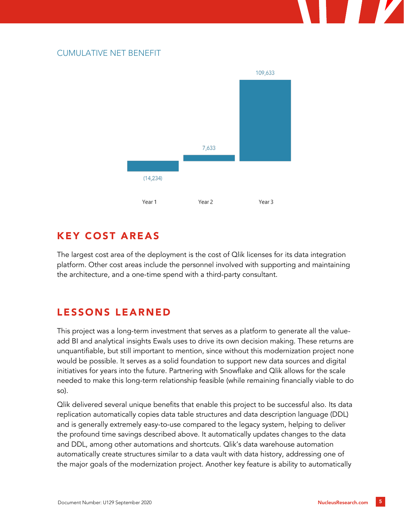#### CUMULATIVE NET BENEFIT



## KEY COST AREAS

The largest cost area of the deployment is the cost of Qlik licenses for its data integration platform. Other cost areas include the personnel involved with supporting and maintaining the architecture, and a one-time spend with a third-party consultant.

# LESSONS LEARNED

This project was a long-term investment that serves as a platform to generate all the valueadd BI and analytical insights Ewals uses to drive its own decision making. These returns are unquantifiable, but still important to mention, since without this modernization project none would be possible. It serves as a solid foundation to support new data sources and digital initiatives for years into the future. Partnering with Snowflake and Qlik allows for the scale needed to make this long-term relationship feasible (while remaining financially viable to do so).

Qlik delivered several unique benefits that enable this project to be successful also. Its data replication automatically copies data table structures and data description language (DDL) and is generally extremely easy-to-use compared to the legacy system, helping to deliver the profound time savings described above. It automatically updates changes to the data and DDL, among other automations and shortcuts. Qlik's data warehouse automation automatically create structures similar to a data vault with data history, addressing one of the major goals of the modernization project. Another key feature is ability to automatically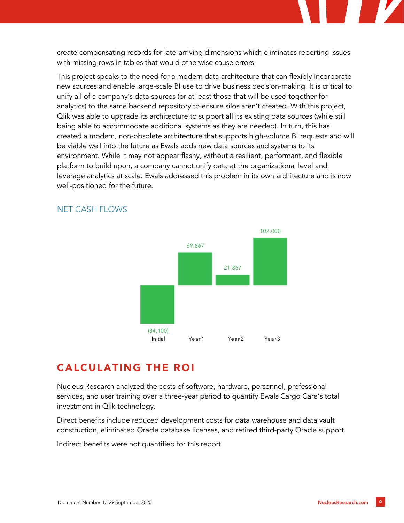create compensating records for late-arriving dimensions which eliminates reporting issues with missing rows in tables that would otherwise cause errors.

This project speaks to the need for a modern data architecture that can flexibly incorporate new sources and enable large-scale BI use to drive business decision-making. It is critical to unify all of a company's data sources (or at least those that will be used together for analytics) to the same backend repository to ensure silos aren't created. With this project, Qlik was able to upgrade its architecture to support all its existing data sources (while still being able to accommodate additional systems as they are needed). In turn, this has created a modern, non-obsolete architecture that supports high-volume BI requests and will be viable well into the future as Ewals adds new data sources and systems to its environment. While it may not appear flashy, without a resilient, performant, and flexible platform to build upon, a company cannot unify data at the organizational level and leverage analytics at scale. Ewals addressed this problem in its own architecture and is now well-positioned for the future.



#### NET CASH FLOWS

### CALCULATING THE ROI

Nucleus Research analyzed the costs of software, hardware, personnel, professional services, and user training over a three-year period to quantify Ewals Cargo Care's total investment in Qlik technology.

Direct benefits include reduced development costs for data warehouse and data vault construction, eliminated Oracle database licenses, and retired third-party Oracle support.

Indirect benefits were not quantified for this report.